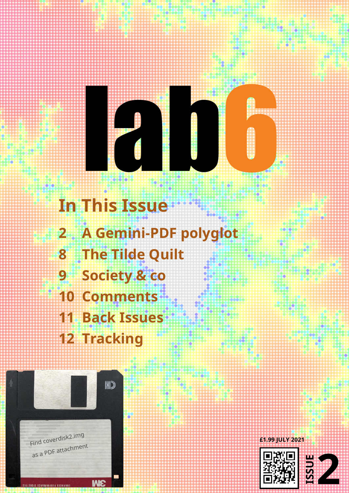# **BEERED**

**In This Issue** A Gemini-PDF polyglot  $\overline{\mathbf{2}}$ The Tilde Quilt 8 Society & co 9 **10 Comments 11 Back Issues 12 Tracking** 



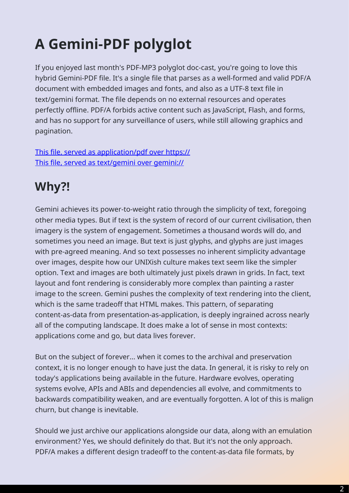## **A Gemini-PDF polyglot**

<span id="page-1-0"></span>If you enjoyed last month's PDF-MP3 polyglot doc-cast, you're going to love this hybrid Gemini-PDF file. It's a single file that parses as a well-formed and valid PDF/A document with embedded images and fonts, and also as a UTF-8 text file in text/gemini format. The file depends on no external resources and operates perfectly offline. PDF/A forbids active content such as JavaScript, Flash, and forms, and has no support for any surveillance of users, while still allowing graphics and pagination.

This file, served as application/pdf over https:// This file, served as text/gemini over gemini://

### **[Why?!](gemini://lab6.com/2)**

Gemini achieves its power-to-weight ratio through the simplicity of text, foregoing other media types. But if text is the system of record of our current civilisation, then imagery is the system of engagement. Sometimes a thousand words will do, and sometimes you need an image. But text is just glyphs, and glyphs are just images with pre-agreed meaning. And so text possesses no inherent simplicity advantage over images, despite how our UNIXish culture makes text seem like the simpler option. Text and images are both ultimately just pixels drawn in grids. In fact, text layout and font rendering is considerably more complex than painting a raster image to the screen. Gemini pushes the complexity of text rendering into the client, which is the same tradeoff that HTML makes. This pattern, of separating content-as-data from presentation-as-application, is deeply ingrained across nearly all of the computing landscape. It does make a lot of sense in most contexts: applications come and go, but data lives forever.

But on the subject of forever... when it comes to the archival and preservation context, it is no longer enough to have just the data. In general, it is risky to rely on today's applications being available in the future. Hardware evolves, operating systems evolve, APIs and ABIs and dependencies all evolve, and commitments to backwards compatibility weaken, and are eventually forgotten. A lot of this is malign churn, but change is inevitable.

Should we just archive our applications alongside our data, along with an emulation environment? Yes, we should definitely do that. But it's not the only approach. PDF/A makes a different design tradeoff to the content-as-data file formats, by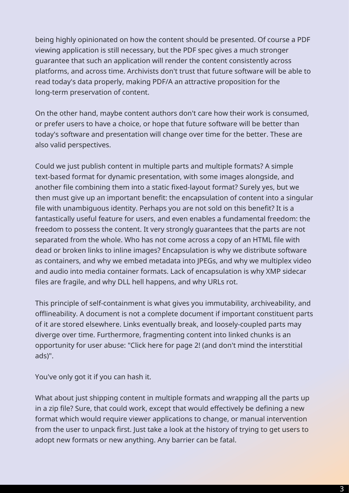being highly opinionated on how the content should be presented. Of course a PDF viewing application is still necessary, but the PDF spec gives a much stronger guarantee that such an application will render the content consistently across platforms, and across time. Archivists don't trust that future software will be able to read today's data properly, making PDF/A an attractive proposition for the long-term preservation of content.

On the other hand, maybe content authors don't care how their work is consumed, or prefer users to have a choice, or hope that future software will be better than today's software and presentation will change over time for the better. These are also valid perspectives.

Could we just publish content in multiple parts and multiple formats? A simple text-based format for dynamic presentation, with some images alongside, and another file combining them into a static fixed-layout format? Surely yes, but we then must give up an important benefit: the encapsulation of content into a singular file with unambiguous identity. Perhaps you are not sold on this benefit? It is a fantastically useful feature for users, and even enables a fundamental freedom: the freedom to possess the content. It very strongly guarantees that the parts are not separated from the whole. Who has not come across a copy of an HTML file with dead or broken links to inline images? Encapsulation is why we distribute software as containers, and why we embed metadata into JPEGs, and why we multiplex video and audio into media container formats. Lack of encapsulation is why XMP sidecar files are fragile, and why DLL hell happens, and why URLs rot.

This principle of self-containment is what gives you immutability, archiveability, and offlineability. A document is not a complete document if important constituent parts of it are stored elsewhere. Links eventually break, and loosely-coupled parts may diverge over time. Furthermore, fragmenting content into linked chunks is an opportunity for user abuse: "Click here for page 2! (and don't mind the interstitial ads)".

You've only got it if you can hash it.

What about just shipping content in multiple formats and wrapping all the parts up in a zip file? Sure, that could work, except that would effectively be defining a new format which would require viewer applications to change, or manual intervention from the user to unpack first. Just take a look at the history of trying to get users to adopt new formats or new anything. Any barrier can be fatal.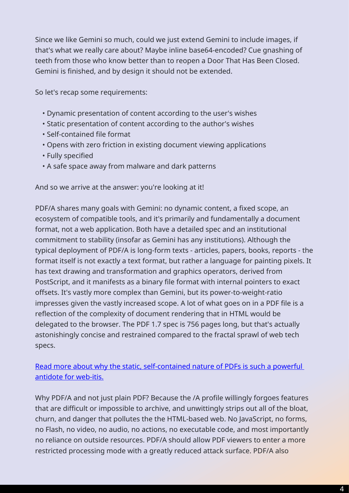Since we like Gemini so much, could we just extend Gemini to include images, if that's what we really care about? Maybe inline base64-encoded? Cue gnashing of teeth from those who know better than to reopen a Door That Has Been Closed. Gemini is finished, and by design it should not be extended.

So let's recap some requirements:

- Dynamic presentation of content according to the user's wishes
- Static presentation of content according to the author's wishes
- Self-contained file format
- Opens with zero friction in existing document viewing applications
- Fully specified
- A safe space away from malware and dark patterns

And so we arrive at the answer: you're looking at it!

PDF/A shares many goals with Gemini: no dynamic content, a fixed scope, an ecosystem of compatible tools, and it's primarily and fundamentally a document format, not a web application. Both have a detailed spec and an institutional commitment to stability (insofar as Gemini has any institutions). Although the typical deployment of PDF/A is long-form texts - articles, papers, books, reports - the format itself is not exactly a text format, but rather a language for painting pixels. It has text drawing and transformation and graphics operators, derived from PostScript, and it manifests as a binary file format with internal pointers to exact offsets. It's vastly more complex than Gemini, but its power-to-weight-ratio impresses given the vastly increased scope. A lot of what goes on in a PDF file is a reflection of the complexity of document rendering that in HTML would be delegated to the browser. The PDF 1.7 spec is 756 pages long, but that's actually astonishingly concise and restrained compared to the fractal sprawl of web tech specs.

Read more about why the static, self-contained nature of PDFs is such a powerful antidote for web-itis.

Why PDF/A and not just plain PDF? Because the /A profile willingly forgoes features [that are difficult or im](https://www.lab6.com/0)possible to archive, and unwittingly strips out all of the bloat, churn, and danger that pollutes the the HTML-based web. No JavaScript, no forms, no Flash, no video, no audio, no actions, no executable code, and most importantly no reliance on outside resources. PDF/A should allow PDF viewers to enter a more restricted processing mode with a greatly reduced attack surface. PDF/A also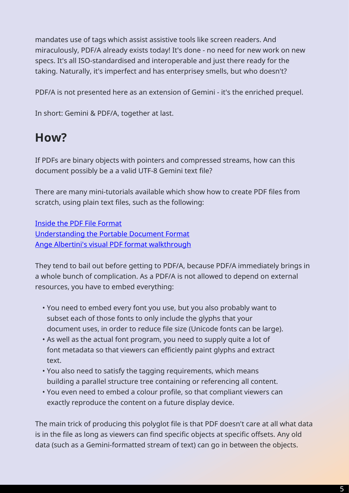mandates use of tags which assist assistive tools like screen readers. And miraculously, PDF/A already exists today! It's done - no need for new work on new specs. It's all ISO-standardised and interoperable and just there ready for the taking. Naturally, it's imperfect and has enterprisey smells, but who doesn't?

PDF/A is not presented here as an extension of Gemini - it's the enriched prequel.

In short: Gemini & PDF/A, together at last.

#### **How?**

If PDFs are binary objects with pointers and compressed streams, how can this document possibly be a a valid UTF-8 Gemini text file?

There are many mini-tutorials available which show how to create PDF files from scratch, using plain text files, such as the following:

Inside the PDF File Format Understanding the Portable Document Format [Ange Albertini](https://commandlinefanatic.com/cgi-bin/showarticle.cgi?article=art019)'[s visual PDF](https://commandlinefanatic.com/cgi-bin/showarticle.cgi?article=art019) format walkthrough

[They tend to bail out before getting to PDF/A, b](https://www.printmyfolders.com/understanding-pdf)ecause PDF/A immediately brings in [a whole bunch of complication. As a PDF/A is no](https://raw.githubusercontent.com/corkami/pics/master/binary/pdf101/pdf101.pdf)t allowed to depend on external resources, you have to embed everything:

- You need to embed every font you use, but you also probably want to subset each of those fonts to only include the glyphs that your document uses, in order to reduce file size (Unicode fonts can be large).
- As well as the actual font program, you need to supply quite a lot of font metadata so that viewers can efficiently paint glyphs and extract text.
- You also need to satisfy the tagging requirements, which means building a parallel structure tree containing or referencing all content.
- You even need to embed a colour profile, so that compliant viewers can exactly reproduce the content on a future display device.

The main trick of producing this polyglot file is that PDF doesn't care at all what data is in the file as long as viewers can find specific objects at specific offsets. Any old data (such as a Gemini-formatted stream of text) can go in between the objects.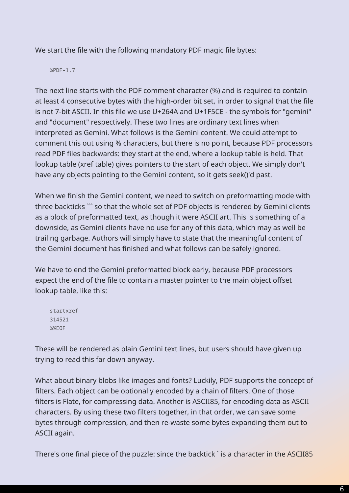We start the file with the following mandatory PDF magic file bytes:

%PDF-1.7

The next line starts with the PDF comment character (%) and is required to contain at least 4 consecutive bytes with the high-order bit set, in order to signal that the file is not 7-bit ASCII. In this file we use U+264A and U+1F5CE - the symbols for "gemini" and "document" respectively. These two lines are ordinary text lines when interpreted as Gemini. What follows is the Gemini content. We could attempt to comment this out using % characters, but there is no point, because PDF processors read PDF files backwards: they start at the end, where a lookup table is held. That lookup table (xref table) gives pointers to the start of each object. We simply don't have any objects pointing to the Gemini content, so it gets seek()'d past.

When we finish the Gemini content, we need to switch on preformatting mode with three backticks ``` so that the whole set of PDF objects is rendered by Gemini clients as a block of preformatted text, as though it were ASCII art. This is something of a downside, as Gemini clients have no use for any of this data, which may as well be trailing garbage. Authors will simply have to state that the meaningful content of the Gemini document has finished and what follows can be safely ignored.

We have to end the Gemini preformatted block early, because PDF processors expect the end of the file to contain a master pointer to the main object offset lookup table, like this:

startxref 314521 %%EOF

These will be rendered as plain Gemini text lines, but users should have given up trying to read this far down anyway.

What about binary blobs like images and fonts? Luckily, PDF supports the concept of filters. Each object can be optionally encoded by a chain of filters. One of those filters is Flate, for compressing data. Another is ASCII85, for encoding data as ASCII characters. By using these two filters together, in that order, we can save some bytes through compression, and then re-waste some bytes expanding them out to ASCII again.

There's one final piece of the puzzle: since the backtick ` is a character in the ASCII85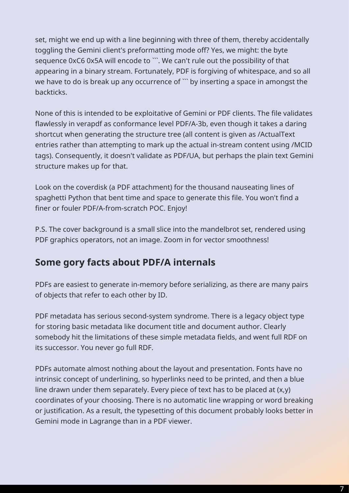set, might we end up with a line beginning with three of them, thereby accidentally toggling the Gemini client's preformatting mode off? Yes, we might: the byte sequence 0xC6 0x5A will encode to ```. We can't rule out the possibility of that appearing in a binary stream. Fortunately, PDF is forgiving of whitespace, and so all we have to do is break up any occurrence of " by inserting a space in amongst the backticks.

None of this is intended to be exploitative of Gemini or PDF clients. The file validates flawlessly in verapdf as conformance level PDF/A-3b, even though it takes a daring shortcut when generating the structure tree (all content is given as /ActualText entries rather than attempting to mark up the actual in-stream content using /MCID tags). Consequently, it doesn't validate as PDF/UA, but perhaps the plain text Gemini structure makes up for that.

Look on the coverdisk (a PDF attachment) for the thousand nauseating lines of spaghetti Python that bent time and space to generate this file. You won't find a finer or fouler PDF/A-from-scratch POC. Enjoy!

P.S. The cover background is a small slice into the mandelbrot set, rendered using PDF graphics operators, not an image. Zoom in for vector smoothness!

#### **Some gory facts about PDF/A internals**

PDFs are easiest to generate in-memory before serializing, as there are many pairs of objects that refer to each other by ID.

PDF metadata has serious second-system syndrome. There is a legacy object type for storing basic metadata like document title and document author. Clearly somebody hit the limitations of these simple metadata fields, and went full RDF on its successor. You never go full RDF.

PDFs automate almost nothing about the layout and presentation. Fonts have no intrinsic concept of underlining, so hyperlinks need to be printed, and then a blue line drawn under them separately. Every piece of text has to be placed at (x,y) coordinates of your choosing. There is no automatic line wrapping or word breaking or justification. As a result, the typesetting of this document probably looks better in Gemini mode in Lagrange than in a PDF viewer.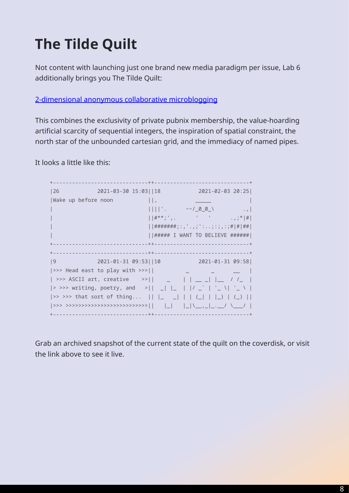## **The Tilde Quilt**

<span id="page-7-0"></span>Not content with launching just one brand new media paradigm per issue, Lab 6 additionally brings you The Tilde Quilt:

#### 2-dimensional anonymous collaborative microblogging

This combines the exclusivity of private pubnix membership, the value-hoarding [artificial scarcity of sequential integers, the inspiration o](https://tilde.club/wiki/quilt.html)f spatial constraint, the north star of the unbounded cartesian grid, and the immediacy of named pipes.

It looks a little like this:

| 26                             |         | $2021 - 03 - 30$ $15:03$   $ 18$ $2021 - 02 - 03$ $20:25$ |  |
|--------------------------------|---------|-----------------------------------------------------------|--|
| Wake up before noon            | $\prod$ |                                                           |  |
|                                |         | $     '.$ $\sim$ $/$ 0 0 \ $.$                            |  |
|                                |         | $  \#^{***};$ , $  $                                      |  |
|                                |         | ########;:,'.,;':;:;,:;# # ##                             |  |
|                                |         | $ $   ##### I WANT TO BELIEVE ######                      |  |
|                                |         |                                                           |  |
|                                |         |                                                           |  |
| 9                              |         | 2021-01-31 09:53  10 2021-01-31 09:58                     |  |
| >>> Head east to play with >>> |         |                                                           |  |
|                                |         |                                                           |  |
|                                |         |                                                           |  |
|                                |         |                                                           |  |
|                                |         |                                                           |  |
|                                |         |                                                           |  |

Grab an archived snapshot of the current state of the quilt on the coverdisk, or visit the link above to see it live.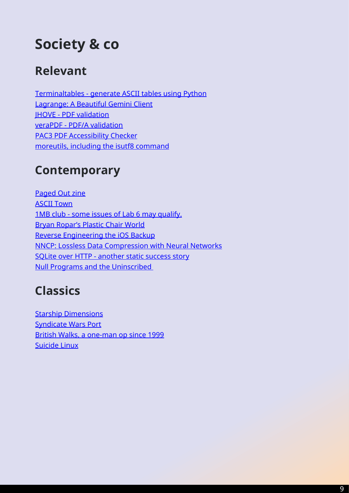## **Society & co**

#### <span id="page-8-0"></span>**Relevant**

Terminaltables - generate ASCII tables using Python Lagrange: A Beautiful Gemini Client JHOVE - PDF validation [veraPDF - PDF/A validation](https://github.com/Robpol86/terminaltables) [PAC3 PDF Accessibility Checker](https://github.com/skyjake/lagrange) [moreutils, including th](https://jhove.openpreservation.org/)[e isu](https://verapdf.org/)tf8 command

#### **[Contemporary](https://joeyh.name/code/moreutils/)**

Paged Out zine ASCII Town 1MB club - some issues of Lab 6 may qualify. [Bryan Ropar's P](https://pagedout.institute/)lastic Chair World [Reverse Eng](https://ascii.town)ineering the iOS Backup [NNCP: Lossless Data Compression with Neur](https://1mb.club)al Networks [SQLite over HTTP - another static](https://www.youtube.com/channel/UCAajKTeS-mCS3PccJUrrIzw) success story [Null Programs and the Uninscribed](https://www.richinfante.com/2017/3/16/reverse-engineering-the-ios-backup) 

#### **[Classics](https://esoteric.codes/blog/null-programs-and-the-uninscribed)**

Starship Dimensions Syndicate Wars Port British Walks, a one-man op since 1999 [Suicide Linux](http://www.merzo.net/indexSD.html)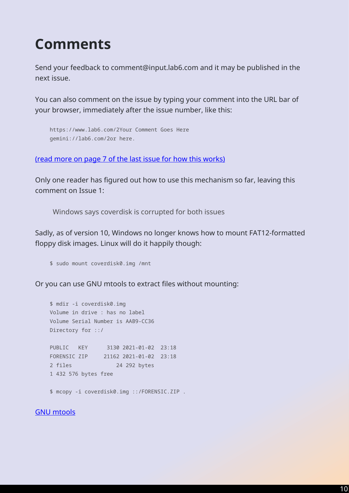### **Comments**

<span id="page-9-0"></span>Send your feedback to comment@input.lab6.com and it may be published in the next issue.

You can also comment on the issue by typing your comment into the URL bar of your browser, immediately after the issue number, like this:

```
https://www.lab6.com/2Your Comment Goes Here
gemini://lab6.com/2or here.
```
(read more on page 7 of the last issue for how this works)

Only one reader has figured out how to use this mechanism so far, leaving this [comment on Issue 1:](https://www.lab6.com/1#page=7)

Windows says coverdisk is corrupted for both issues

Sadly, as of version 10, Windows no longer knows how to mount FAT12-formatted floppy disk images. Linux will do it happily though:

\$ sudo mount coverdisk0.img /mnt

Or you can use GNU mtools to extract files without mounting:

```
$ mdir -i coverdisk0.img 
Volume in drive : has no label
Volume Serial Number is AAB9-CC36
Directory for ::/
PUBLIC KEY 3130 2021-01-02 23:18 
FORENSIC ZIP 21162 2021-01-02 23:18 
2 files 24 292 bytes
1 432 576 bytes free
$ mcopy -i coverdisk0.img ::/FORENSIC.ZIP .
```
GNU mtools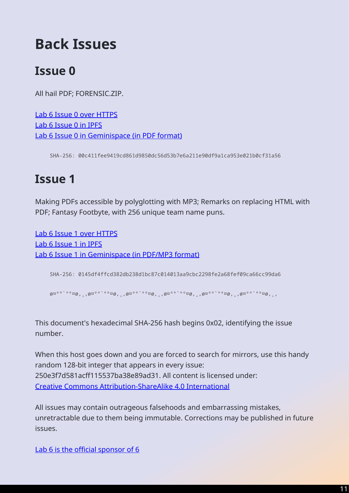## **Back Issues**

#### <span id="page-10-0"></span>**Issue 0**

All hail PDF; FORENSIC.ZIP.

Lab 6 Issue 0 over HTTPS Lab 6 Issue 0 in IPFS [Lab 6 Issue 0 in Geminisp](https://www.lab6.com/0)ace (in PDF format)

[SHA-256: 00c411fe](ipfs://QmTAQJro5RmXXpsPbXPZFSAMQZY8Lpw69EskGaJZXTBrWp)e9419cd861d9850dc56d53b7e6a211e90df9a1ca953e021b0cf31a56

#### **Issue 1**

Making PDFs accessible by polyglotting with MP3; Remarks on replacing HTML with PDF; Fantasy Footbyte, with 256 unique team name puns.

Lab 6 Issue 1 over HTTPS Lab 6 Issue 1 in IPFS [Lab 6 Issue 1 in Geminisp](https://www.lab6.com/1)ace (in PDF/MP3 format)

[SHA-256: 0145df4f](ipfs://QmZHFELyjXrMzmjDdxoMBZaf4sa6hrxJhAuzUpP6DDV1Xy)fcd382db238d1bc87c014013aa9cbc2298fe2a68fef09ca66cc99da6

ø¤º°`°º¤ø,¸,ø¤º°`°º¤ø,¸,ø¤º°`°º¤ø,¸,ø¤º°`°º¤ø,¸,ø¤º°`°º¤ø,¸,ø¤º°`°º¤ø,¸,

This document's hexadecimal SHA-256 hash begins 0x02, identifying the issue number.

When this host goes down and you are forced to search for mirrors, use this handy random 128-bit integer that appears in every issue: 250e3f7d581acff115537ba38e89ad31. All content is licensed under: Creative Commons Attribution-ShareAlike 4.0 International

All issues may contain outrageous falsehoods and embarrassing mistakes, [unretractable due to them being immutable. Corrections m](https://creativecommons.org/licenses/by-sa/4.0/)ay be published in future issues.

Lab 6 is the official sponsor of 6